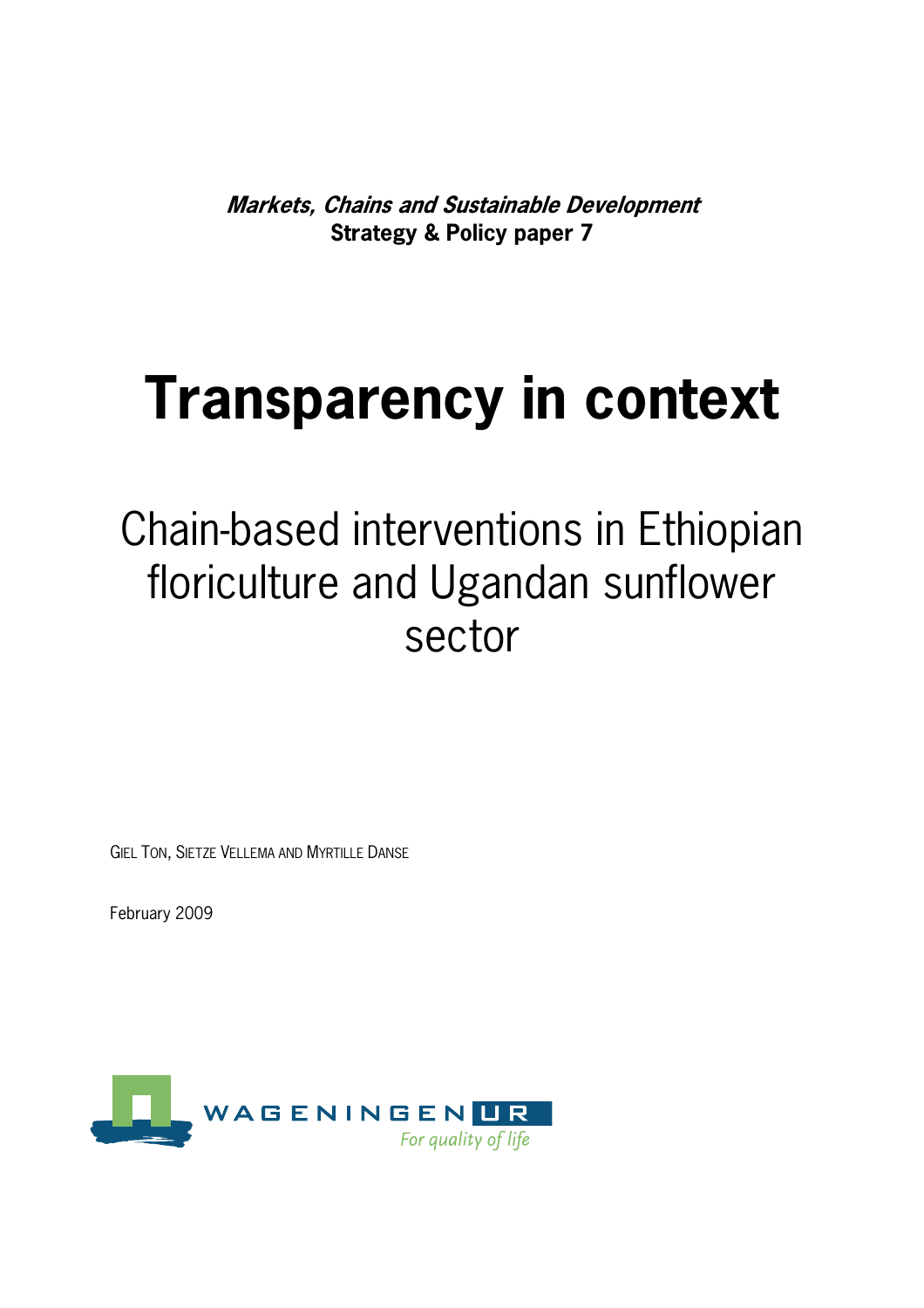**Markets, Chains and Sustainable Development Strategy & Policy paper 7** 

# **Transparency in context**

## Chain-based interventions in Ethiopian floriculture and Ugandan sunflower sector

GIEL TON, SIETZE VELLEMA AND MYRTILLE DANSE

February 2009

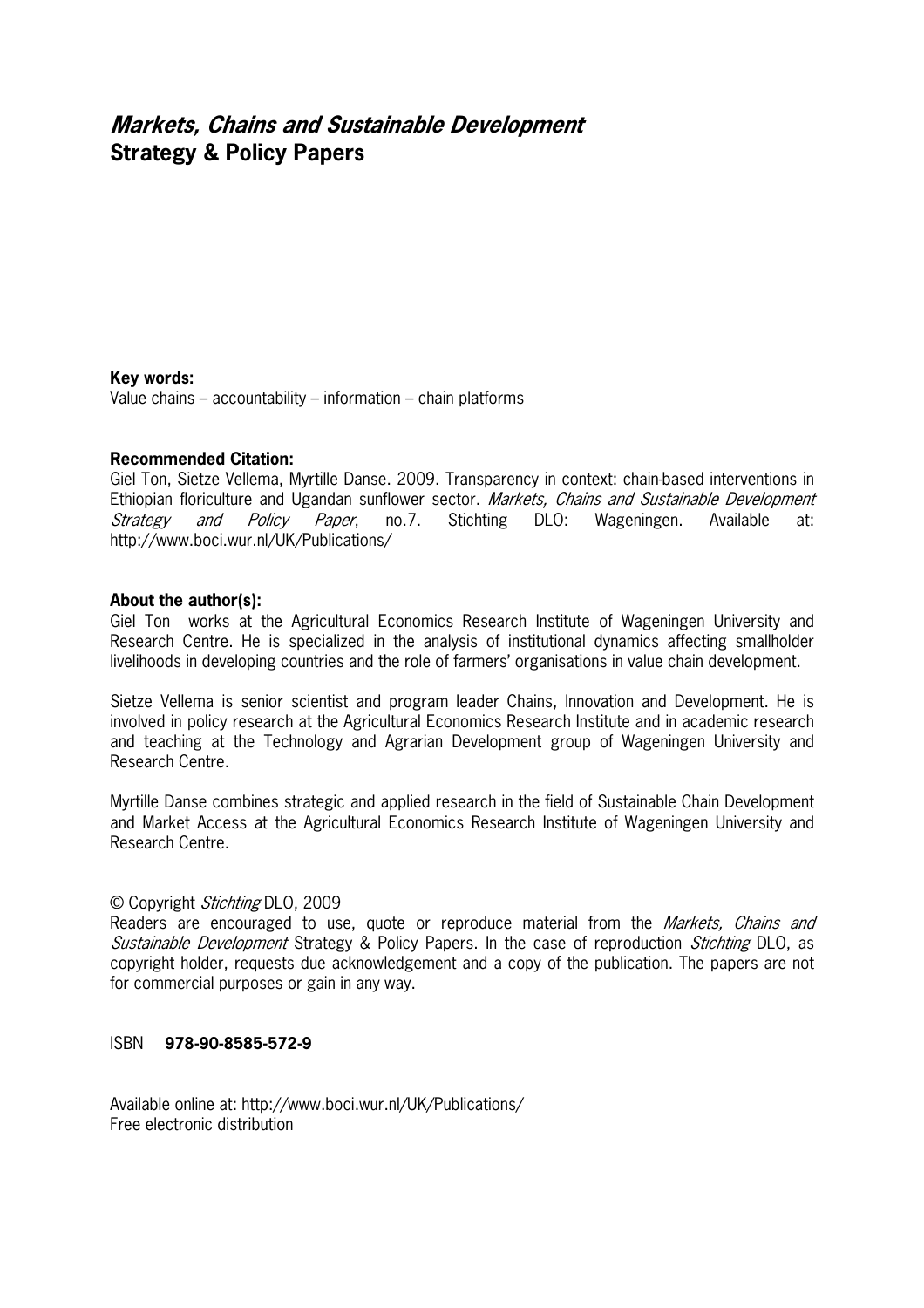### **Markets, Chains and Sustainable Development Strategy & Policy Papers**

#### **Key words:**

Value chains – accountability – information – chain platforms

#### **Recommended Citation:**

Giel Ton, Sietze Vellema, Myrtille Danse. 2009. Transparency in context: chainbased interventions in Ethiopian floriculture and Ugandan sunflower sector. Markets, Chains and Sustainable Development Strategy and Policy Paper, no.7. Stichting DLO: Wageningen. Available at: http://www.boci.wur.nl/UK/Publications/

#### **About the author(s):**

Giel Ton works at the Agricultural Economics Research Institute of Wageningen University and Research Centre. He is specialized in the analysis of institutional dynamics affecting smallholder livelihoods in developing countries and the role of farmers' organisations in value chain development.

Sietze Vellema is senior scientist and program leader Chains, Innovation and Development. He is involved in policy research at the Agricultural Economics Research Institute and in academic research and teaching at the Technology and Agrarian Development group of Wageningen University and Research Centre.

Myrtille Danse combines strategic and applied research in the field of Sustainable Chain Development and Market Access at the Agricultural Economics Research Institute of Wageningen University and Research Centre.

#### © Copyright Stichting DLO, 2009

Readers are encouraged to use, quote or reproduce material from the *Markets, Chains and* Sustainable Development Strategy & Policy Papers. In the case of reproduction *Stichting* DLO, as copyright holder, requests due acknowledgement and a copy of the publication. The papers are not for commercial purposes or gain in any way.

#### ISBN **978)90)8585)572)9**

Available online at: http://www.boci.wur.nl/UK/Publications/ Free electronic distribution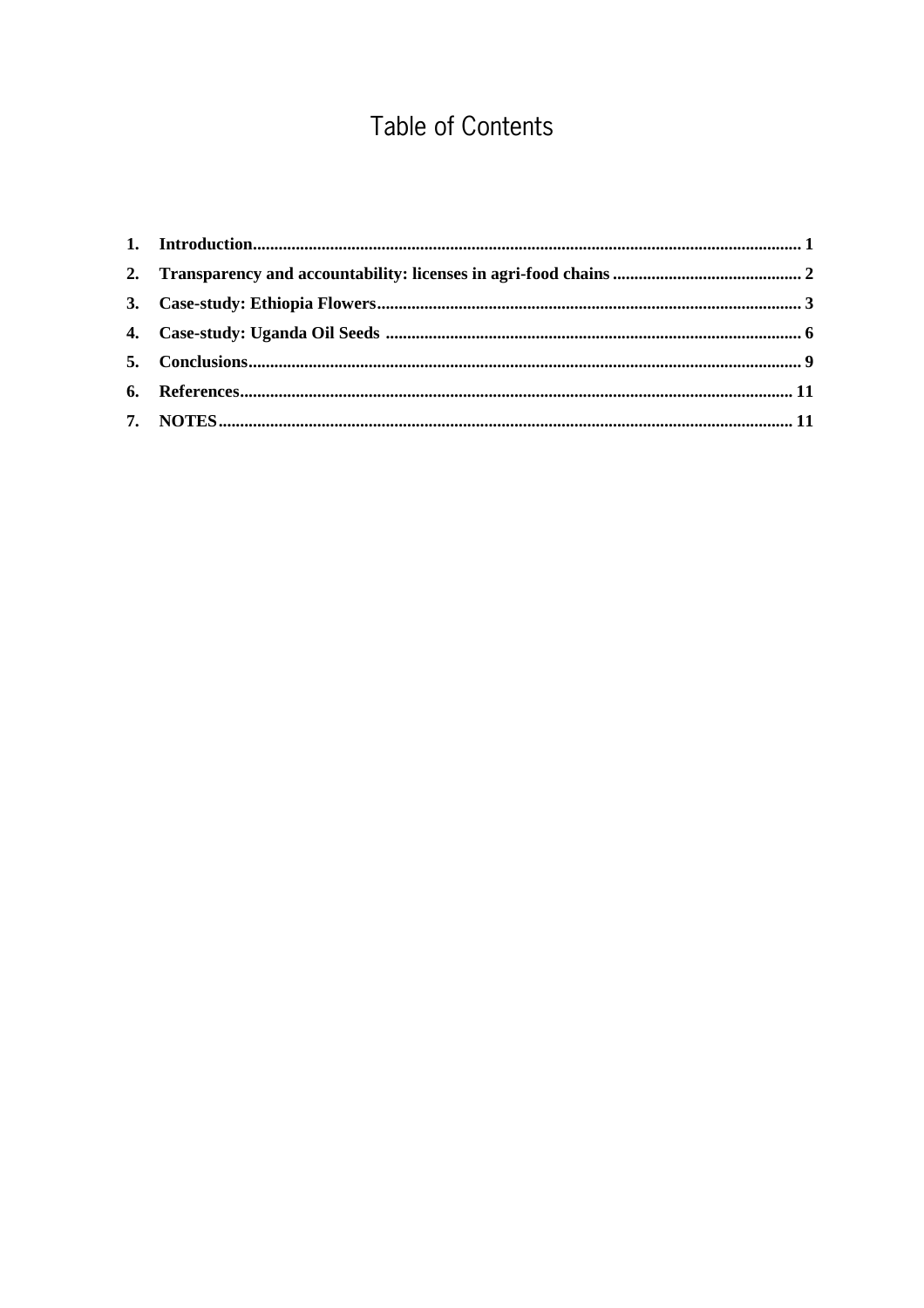## **Table of Contents**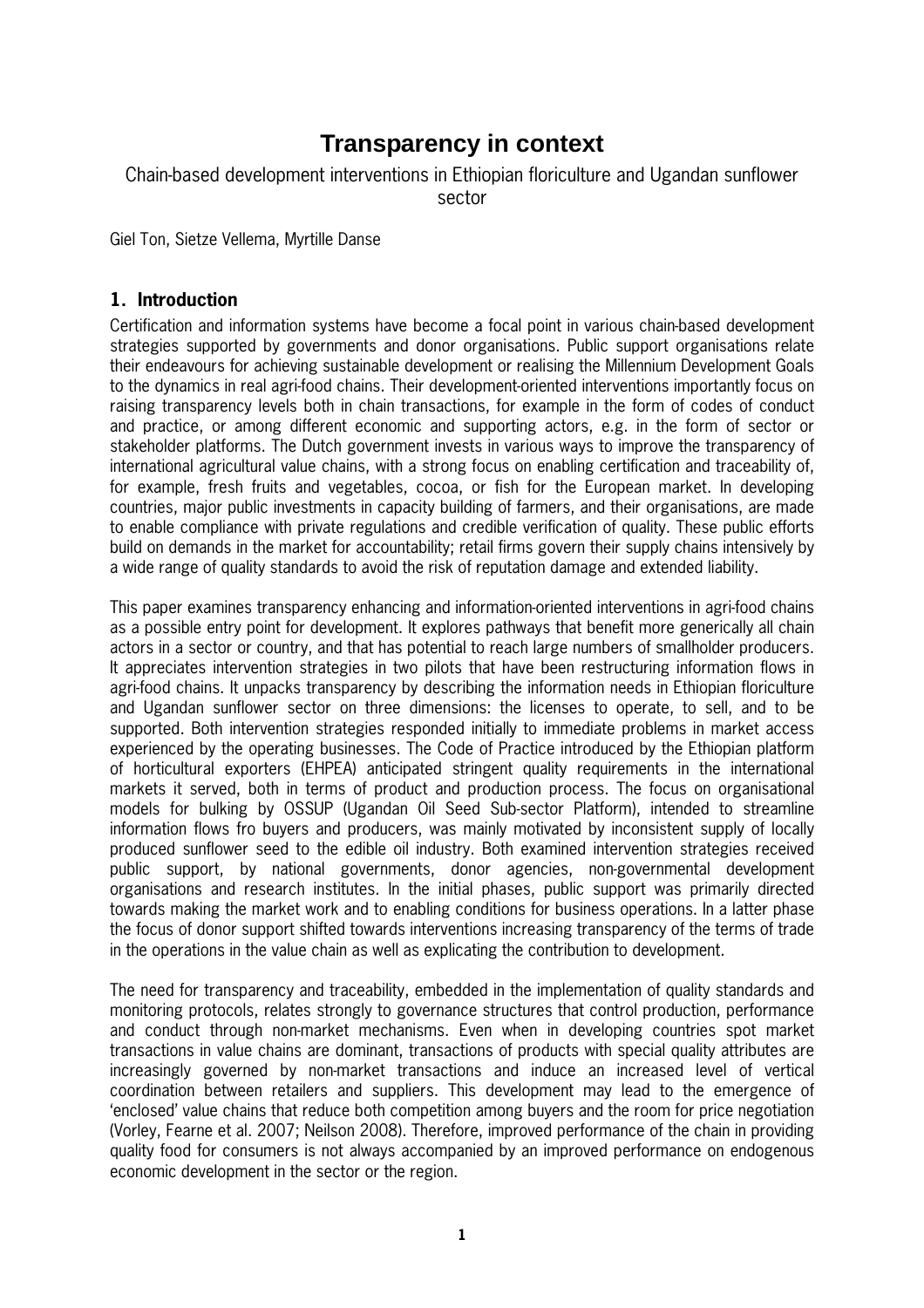## **Transparency in context**

#### Chain-based development interventions in Ethiopian floriculture and Ugandan sunflower sector

Giel Ton, Sietze Vellema, Myrtille Danse

#### **1. Introduction**

Certification and information systems have become a focal point in various chainbased development strategies supported by governments and donor organisations. Public support organisations relate their endeavours for achieving sustainable development or realising the Millennium Development Goals to the dynamics in real agri-food chains. Their development-oriented interventions importantly focus on raising transparency levels both in chain transactions, for example in the form of codes of conduct and practice, or among different economic and supporting actors, e.g. in the form of sector or stakeholder platforms. The Dutch government invests in various ways to improve the transparency of international agricultural value chains, with a strong focus on enabling certification and traceability of, for example, fresh fruits and vegetables, cocoa, or fish for the European market. In developing countries, major public investments in capacity building of farmers, and their organisations, are made to enable compliance with private regulations and credible verification of quality. These public efforts build on demands in the market for accountability; retail firms govern their supply chains intensively by a wide range of quality standards to avoid the risk of reputation damage and extended liability.

This paper examines transparency enhancing and information-oriented interventions in agri-food chains as a possible entry point for development. It explores pathways that benefit more generically all chain actors in a sector or country, and that has potential to reach large numbers of smallholder producers. It appreciates intervention strategies in two pilots that have been restructuring information flows in agrifood chains. It unpacks transparency by describing the information needs in Ethiopian floriculture and Ugandan sunflower sector on three dimensions: the licenses to operate, to sell, and to be supported. Both intervention strategies responded initially to immediate problems in market access experienced by the operating businesses. The Code of Practice introduced by the Ethiopian platform of horticultural exporters (EHPEA) anticipated stringent quality requirements in the international markets it served, both in terms of product and production process. The focus on organisational models for bulking by OSSUP (Ugandan Oil Seed Subsector Platform), intended to streamline information flows fro buyers and producers, was mainly motivated by inconsistent supply of locally produced sunflower seed to the edible oil industry. Both examined intervention strategies received public support, by national governments, donor agencies, nongovernmental development organisations and research institutes. In the initial phases, public support was primarily directed towards making the market work and to enabling conditions for business operations. In a latter phase the focus of donor support shifted towards interventions increasing transparency of the terms of trade in the operations in the value chain as well as explicating the contribution to development.

The need for transparency and traceability, embedded in the implementation of quality standards and monitoring protocols, relates strongly to governance structures that control production, performance and conduct through non-market mechanisms. Even when in developing countries spot market transactions in value chains are dominant, transactions of products with special quality attributes are increasingly governed by non-market transactions and induce an increased level of vertical coordination between retailers and suppliers. This development may lead to the emergence of 'enclosed' value chains that reduce both competition among buyers and the room for price negotiation (Vorley, Fearne et al. 2007; Neilson 2008). Therefore, improved performance of the chain in providing quality food for consumers is not always accompanied by an improved performance on endogenous economic development in the sector or the region.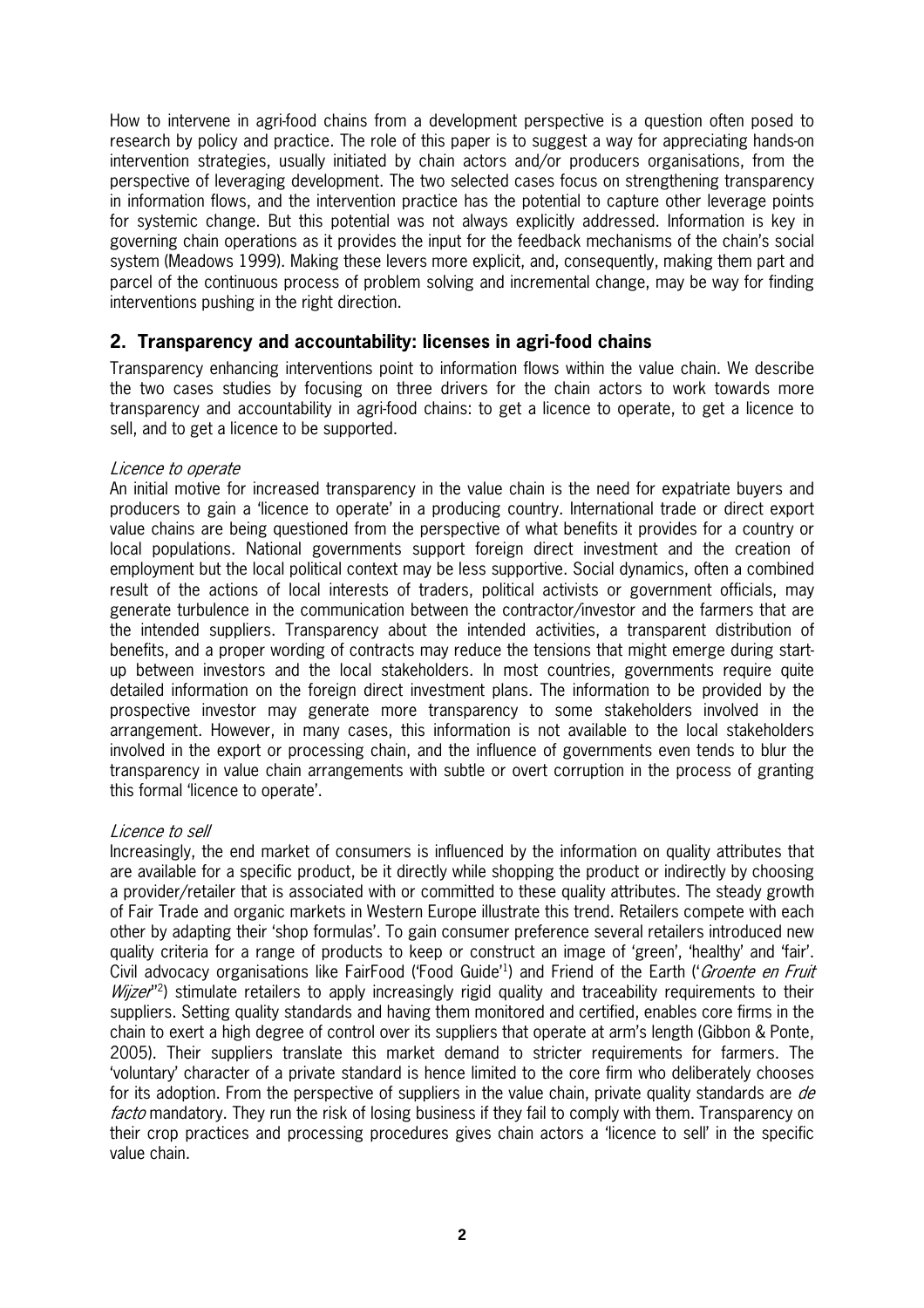How to intervene in agrifood chains from a development perspective is a question often posed to research by policy and practice. The role of this paper is to suggest a way for appreciating hands-on intervention strategies, usually initiated by chain actors and/or producers organisations, from the perspective of leveraging development. The two selected cases focus on strengthening transparency in information flows, and the intervention practice has the potential to capture other leverage points for systemic change. But this potential was not always explicitly addressed. Information is key in governing chain operations as it provides the input for the feedback mechanisms of the chain's social system (Meadows 1999). Making these levers more explicit, and, consequently, making them part and parcel of the continuous process of problem solving and incremental change, may be way for finding interventions pushing in the right direction.

#### **2. Transparency and accountability: licenses in agri-food chains**

Transparency enhancing interventions point to information flows within the value chain. We describe the two cases studies by focusing on three drivers for the chain actors to work towards more transparency and accountability in agrifood chains: to get a licence to operate, to get a licence to sell, and to get a licence to be supported.

#### Licence to operate

An initial motive for increased transparency in the value chain is the need for expatriate buyers and producers to gain a 'licence to operate' in a producing country. International trade or direct export value chains are being questioned from the perspective of what benefits it provides for a country or local populations. National governments support foreign direct investment and the creation of employment but the local political context may be less supportive. Social dynamics, often a combined result of the actions of local interests of traders, political activists or government officials, may generate turbulence in the communication between the contractor/investor and the farmers that are the intended suppliers. Transparency about the intended activities, a transparent distribution of benefits, and a proper wording of contracts may reduce the tensions that might emerge during start up between investors and the local stakeholders. In most countries, governments require quite detailed information on the foreign direct investment plans. The information to be provided by the prospective investor may generate more transparency to some stakeholders involved in the arrangement. However, in many cases, this information is not available to the local stakeholders involved in the export or processing chain, and the influence of governments even tends to blur the transparency in value chain arrangements with subtle or overt corruption in the process of granting this formal 'licence to operate'.

#### Licence to sell

Increasingly, the end market of consumers is influenced by the information on quality attributes that are available for a specific product, be it directly while shopping the product or indirectly by choosing a provider/retailer that is associated with or committed to these quality attributes. The steady growth of Fair Trade and organic markets in Western Europe illustrate this trend. Retailers compete with each other by adapting their 'shop formulas'. To gain consumer preference several retailers introduced new quality criteria for a range of products to keep or construct an image of 'green', 'healthy' and 'fair'. Civil advocacy organisations like FairFood ('Food Guide'<sup>1</sup>) and Friend of the Earth ('*Groente en Fruit Wijzer*<sup>12</sup>) stimulate retailers to apply increasingly rigid quality and traceability requirements to their suppliers. Setting quality standards and having them monitored and certified, enables core firms in the chain to exert a high degree of control over its suppliers that operate at arm's length (Gibbon & Ponte, 2005). Their suppliers translate this market demand to stricter requirements for farmers. The 'voluntary' character of a private standard is hence limited to the core firm who deliberately chooses for its adoption. From the perspective of suppliers in the value chain, private quality standards are de facto mandatory. They run the risk of losing business if they fail to comply with them. Transparency on their crop practices and processing procedures gives chain actors a 'licence to sell' in the specific value chain.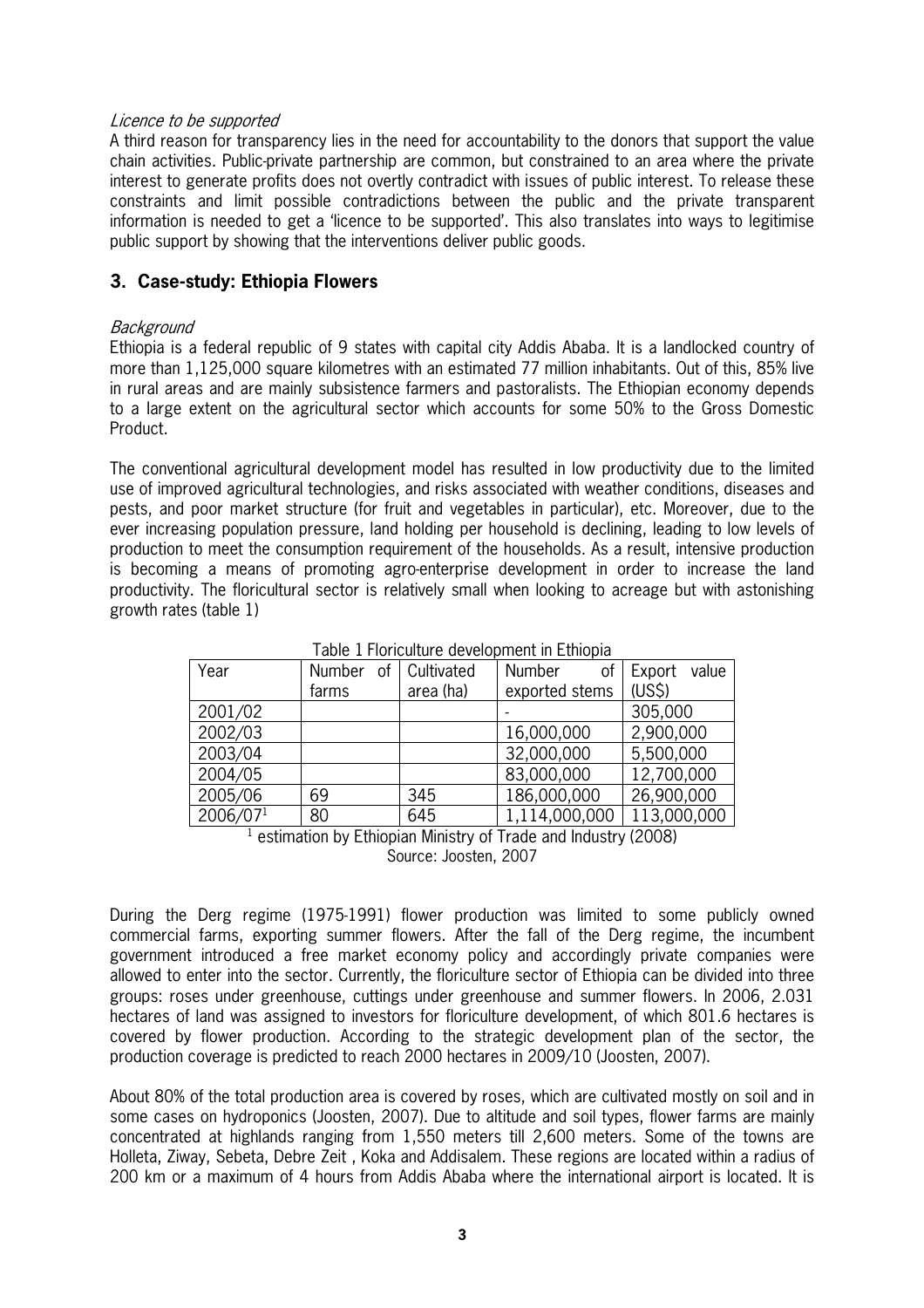#### Licence to be supported

A third reason for transparency lies in the need for accountability to the donors that support the value chain activities. Public-private partnership are common, but constrained to an area where the private interest to generate profits does not overtly contradict with issues of public interest. To release these constraints and limit possible contradictions between the public and the private transparent information is needed to get a 'licence to be supported'. This also translates into ways to legitimise public support by showing that the interventions deliver public goods.

#### **3. Case-study: Ethiopia Flowers**

#### Background

Ethiopia is a federal republic of 9 states with capital city Addis Ababa. It is a landlocked country of more than 1,125,000 square kilometres with an estimated 77 million inhabitants. Out of this, 85% live in rural areas and are mainly subsistence farmers and pastoralists. The Ethiopian economy depends to a large extent on the agricultural sector which accounts for some 50% to the Gross Domestic Product.

The conventional agricultural development model has resulted in low productivity due to the limited use of improved agricultural technologies, and risks associated with weather conditions, diseases and pests, and poor market structure (for fruit and vegetables in particular), etc. Moreover, due to the ever increasing population pressure, land holding per household is declining, leading to low levels of production to meet the consumption requirement of the households. As a result, intensive production is becoming a means of promoting agroenterprise development in order to increase the land productivity. The floricultural sector is relatively small when looking to acreage but with astonishing growth rates (table 1)

| Year     | <b>Number</b> | of Cultivated | Number<br>οf   | Export<br>value    |
|----------|---------------|---------------|----------------|--------------------|
|          | farms         | area (ha)     | exported stems | (US <sub>5</sub> ) |
| 2001/02  |               |               |                | 305,000            |
| 2002/03  |               |               | 16,000,000     | 2,900,000          |
| 2003/04  |               |               | 32,000,000     | 5,500,000          |
| 2004/05  |               |               | 83,000,000     | 12,700,000         |
| 2005/06  | 69            | 345           | 186,000,000    | 26,900,000         |
| 2006/071 | 80            | 645           | 1,114,000,000  | 113,000,000        |

<sup>1</sup> estimation by Ethiopian Ministry of Trade and Industry (2008) Source: Joosten, 2007

During the Derg regime (19751991) flower production was limited to some publicly owned commercial farms, exporting summer flowers. After the fall of the Derg regime, the incumbent government introduced a free market economy policy and accordingly private companies were allowed to enter into the sector. Currently, the floriculture sector of Ethiopia can be divided into three groups: roses under greenhouse, cuttings under greenhouse and summer flowers. In 2006, 2.031 hectares of land was assigned to investors for floriculture development, of which 801.6 hectares is covered by flower production. According to the strategic development plan of the sector, the production coverage is predicted to reach 2000 hectares in 2009/10 (Joosten, 2007).

About 80% of the total production area is covered by roses, which are cultivated mostly on soil and in some cases on hydroponics (Joosten, 2007). Due to altitude and soil types, flower farms are mainly concentrated at highlands ranging from 1,550 meters till 2,600 meters. Some of the towns are Holleta, Ziway, Sebeta, Debre Zeit , Koka and Addisalem. These regions are located within a radius of 200 km or a maximum of 4 hours from Addis Ababa where the international airport is located. It is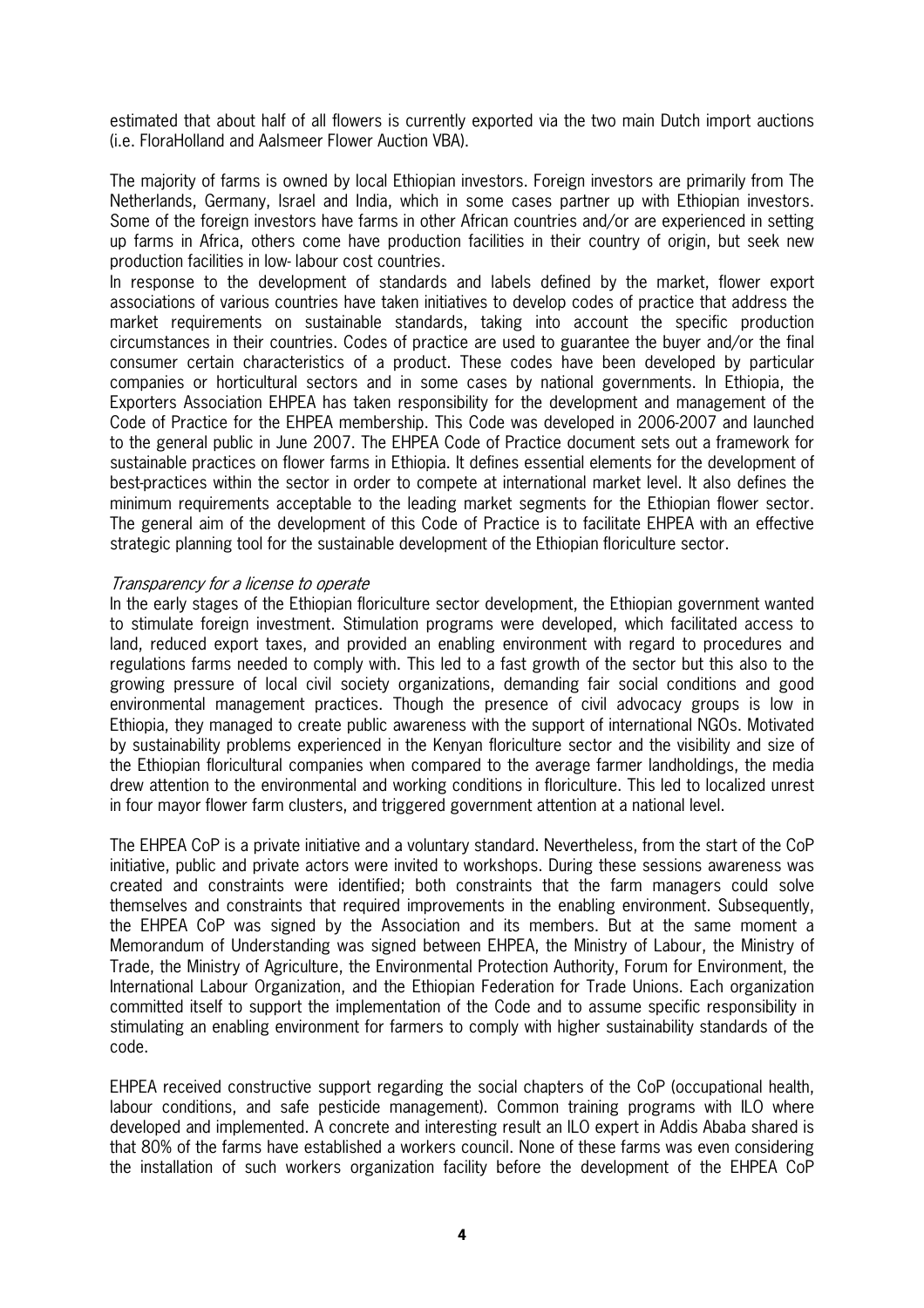estimated that about half of all flowers is currently exported via the two main Dutch import auctions (i.e. FloraHolland and Aalsmeer Flower Auction VBA).

The majority of farms is owned by local Ethiopian investors. Foreign investors are primarily from The Netherlands, Germany, Israel and India, which in some cases partner up with Ethiopian investors. Some of the foreign investors have farms in other African countries and/or are experienced in setting up farms in Africa, others come have production facilities in their country of origin, but seek new production facilities in low-labour cost countries.

In response to the development of standards and labels defined by the market, flower export associations of various countries have taken initiatives to develop codes of practice that address the market requirements on sustainable standards, taking into account the specific production circumstances in their countries. Codes of practice are used to guarantee the buyer and/or the final consumer certain characteristics of a product. These codes have been developed by particular companies or horticultural sectors and in some cases by national governments. In Ethiopia, the Exporters Association EHPEA has taken responsibility for the development and management of the Code of Practice for the EHPEA membership. This Code was developed in 2006-2007 and launched to the general public in June 2007. The EHPEA Code of Practice document sets out a framework for sustainable practices on flower farms in Ethiopia. It defines essential elements for the development of bestpractices within the sector in order to compete at international market level. It also defines the minimum requirements acceptable to the leading market segments for the Ethiopian flower sector. The general aim of the development of this Code of Practice is to facilitate EHPEA with an effective strategic planning tool for the sustainable development of the Ethiopian floriculture sector.

#### Transparency for a license to operate

In the early stages of the Ethiopian floriculture sector development, the Ethiopian government wanted to stimulate foreign investment. Stimulation programs were developed, which facilitated access to land, reduced export taxes, and provided an enabling environment with regard to procedures and regulations farms needed to comply with. This led to a fast growth of the sector but this also to the growing pressure of local civil society organizations, demanding fair social conditions and good environmental management practices. Though the presence of civil advocacy groups is low in Ethiopia, they managed to create public awareness with the support of international NGOs. Motivated by sustainability problems experienced in the Kenyan floriculture sector and the visibility and size of the Ethiopian floricultural companies when compared to the average farmer landholdings, the media drew attention to the environmental and working conditions in floriculture. This led to localized unrest in four mayor flower farm clusters, and triggered government attention at a national level.

The EHPEA CoP is a private initiative and a voluntary standard. Nevertheless, from the start of the CoP initiative, public and private actors were invited to workshops. During these sessions awareness was created and constraints were identified; both constraints that the farm managers could solve themselves and constraints that required improvements in the enabling environment. Subsequently, the EHPEA CoP was signed by the Association and its members. But at the same moment a Memorandum of Understanding was signed between EHPEA, the Ministry of Labour, the Ministry of Trade, the Ministry of Agriculture, the Environmental Protection Authority, Forum for Environment, the International Labour Organization, and the Ethiopian Federation for Trade Unions. Each organization committed itself to support the implementation of the Code and to assume specific responsibility in stimulating an enabling environment for farmers to comply with higher sustainability standards of the code.

EHPEA received constructive support regarding the social chapters of the CoP (occupational health, labour conditions, and safe pesticide management). Common training programs with ILO where developed and implemented. A concrete and interesting result an ILO expert in Addis Ababa shared is that 80% of the farms have established a workers council. None of these farms was even considering the installation of such workers organization facility before the development of the EHPEA CoP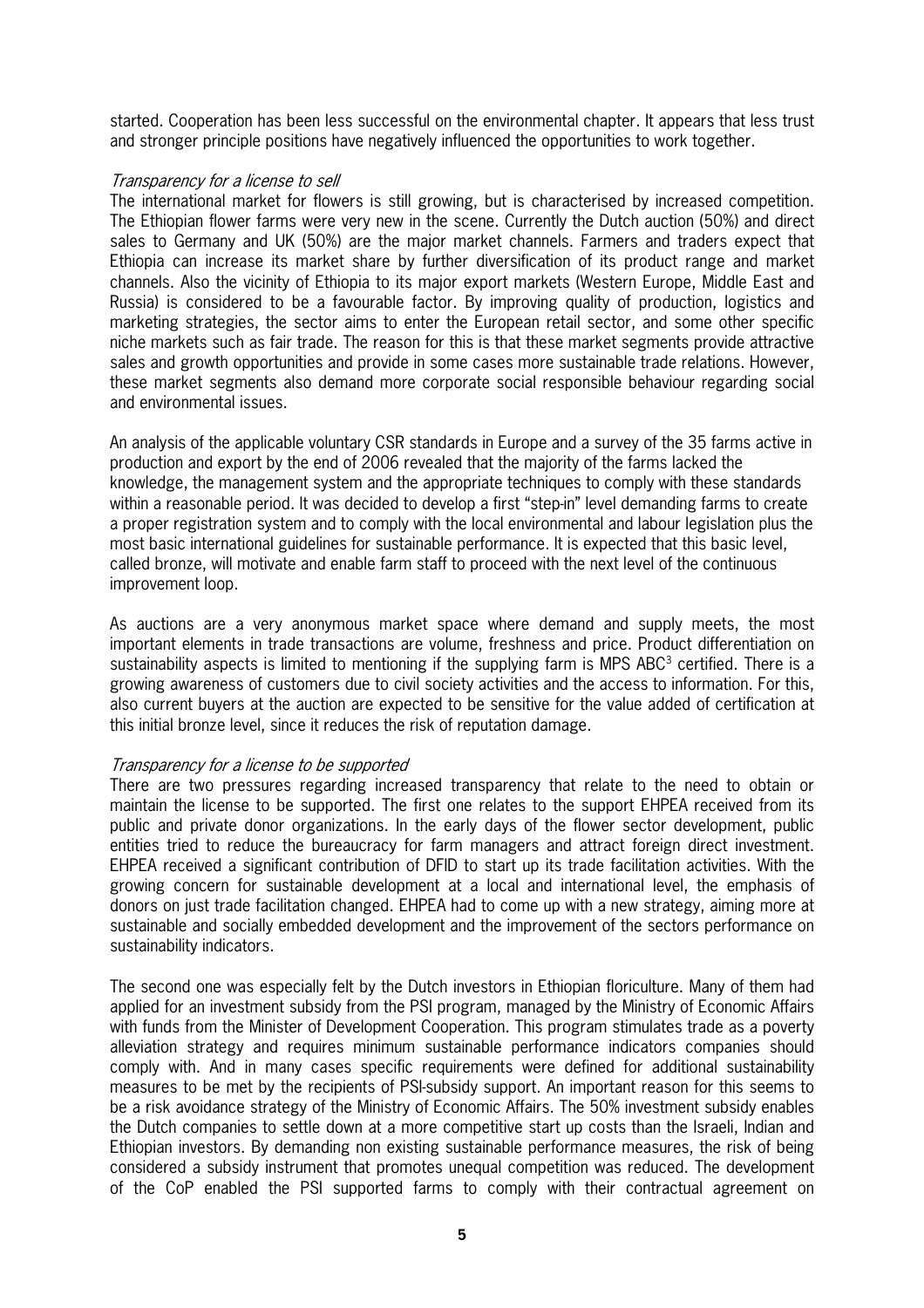started. Cooperation has been less successful on the environmental chapter. It appears that less trust and stronger principle positions have negatively influenced the opportunities to work together.

#### Transparency for a license to sell

The international market for flowers is still growing, but is characterised by increased competition. The Ethiopian flower farms were very new in the scene. Currently the Dutch auction (50%) and direct sales to Germany and UK (50%) are the major market channels. Farmers and traders expect that Ethiopia can increase its market share by further diversification of its product range and market channels. Also the vicinity of Ethiopia to its major export markets (Western Europe, Middle East and Russia) is considered to be a favourable factor. By improving quality of production, logistics and marketing strategies, the sector aims to enter the European retail sector, and some other specific niche markets such as fair trade. The reason for this is that these market segments provide attractive sales and growth opportunities and provide in some cases more sustainable trade relations. However, these market segments also demand more corporate social responsible behaviour regarding social and environmental issues.

An analysis of the applicable voluntary CSR standards in Europe and a survey of the 35 farms active in production and export by the end of 2006 revealed that the majority of the farms lacked the knowledge, the management system and the appropriate techniques to comply with these standards within a reasonable period. It was decided to develop a first "step-in" level demanding farms to create a proper registration system and to comply with the local environmental and labour legislation plus the most basic international guidelines for sustainable performance. It is expected that this basic level, called bronze, will motivate and enable farm staff to proceed with the next level of the continuous improvement loop.

As auctions are a very anonymous market space where demand and supply meets, the most important elements in trade transactions are volume, freshness and price. Product differentiation on sustainability aspects is limited to mentioning if the supplying farm is MPS ABC $3$  certified. There is a growing awareness of customers due to civil society activities and the access to information. For this, also current buyers at the auction are expected to be sensitive for the value added of certification at this initial bronze level, since it reduces the risk of reputation damage.

#### Transparency for a license to be supported

There are two pressures regarding increased transparency that relate to the need to obtain or maintain the license to be supported. The first one relates to the support EHPEA received from its public and private donor organizations. In the early days of the flower sector development, public entities tried to reduce the bureaucracy for farm managers and attract foreign direct investment. EHPEA received a significant contribution of DFID to start up its trade facilitation activities. With the growing concern for sustainable development at a local and international level, the emphasis of donors on just trade facilitation changed. EHPEA had to come up with a new strategy, aiming more at sustainable and socially embedded development and the improvement of the sectors performance on sustainability indicators.

The second one was especially felt by the Dutch investors in Ethiopian floriculture. Many of them had applied for an investment subsidy from the PSI program, managed by the Ministry of Economic Affairs with funds from the Minister of Development Cooperation. This program stimulates trade as a poverty alleviation strategy and requires minimum sustainable performance indicators companies should comply with. And in many cases specific requirements were defined for additional sustainability measures to be met by the recipients of PSIsubsidy support. An important reason for this seems to be a risk avoidance strategy of the Ministry of Economic Affairs. The 50% investment subsidy enables the Dutch companies to settle down at a more competitive start up costs than the Israeli, Indian and Ethiopian investors. By demanding non existing sustainable performance measures, the risk of being considered a subsidy instrument that promotes unequal competition was reduced. The development of the CoP enabled the PSI supported farms to comply with their contractual agreement on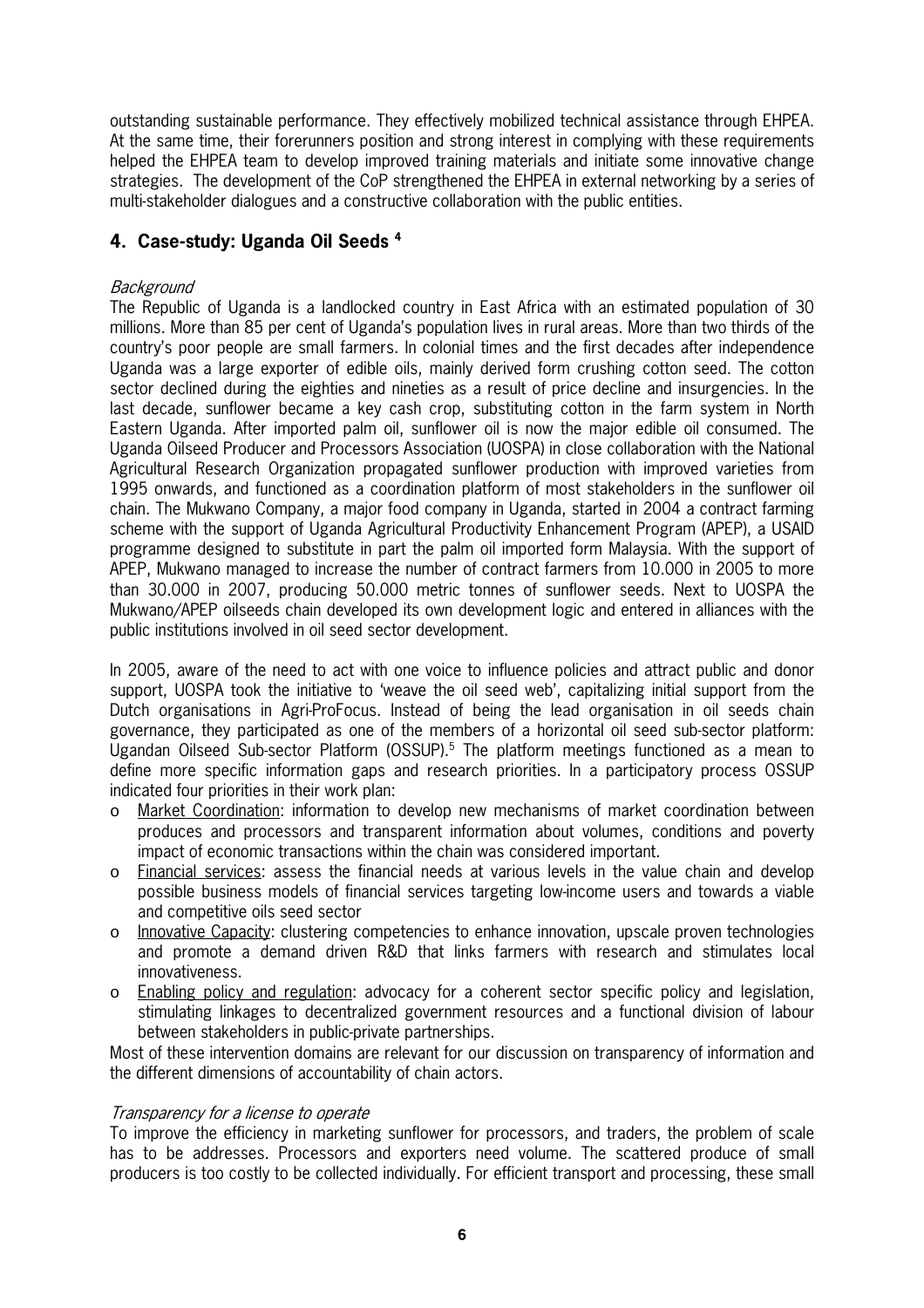outstanding sustainable performance. They effectively mobilized technical assistance through EHPEA. At the same time, their forerunners position and strong interest in complying with these requirements helped the EHPEA team to develop improved training materials and initiate some innovative change strategies. The development of the CoP strengthened the EHPEA in external networking by a series of multi-stakeholder dialogues and a constructive collaboration with the public entities.

#### **4. Case)study: Uganda Oil Seeds <sup>4</sup>**

#### Background

The Republic of Uganda is a landlocked country in East Africa with an estimated population of 30 millions. More than 85 per cent of Uganda's population lives in rural areas. More than two thirds of the country's poor people are small farmers. In colonial times and the first decades after independence Uganda was a large exporter of edible oils, mainly derived form crushing cotton seed. The cotton sector declined during the eighties and nineties as a result of price decline and insurgencies. In the last decade, sunflower became a key cash crop, substituting cotton in the farm system in North Eastern Uganda. After imported palm oil, sunflower oil is now the major edible oil consumed. The Uganda Oilseed Producer and Processors Association (UOSPA) in close collaboration with the National Agricultural Research Organization propagated sunflower production with improved varieties from 1995 onwards, and functioned as a coordination platform of most stakeholders in the sunflower oil chain. The Mukwano Company, a major food company in Uganda, started in 2004 a contract farming scheme with the support of Uganda Agricultural Productivity Enhancement Program (APEP), a USAID programme designed to substitute in part the palm oil imported form Malaysia. With the support of APEP, Mukwano managed to increase the number of contract farmers from 10.000 in 2005 to more than 30.000 in 2007, producing 50.000 metric tonnes of sunflower seeds. Next to UOSPA the Mukwano/APEP oilseeds chain developed its own development logic and entered in alliances with the public institutions involved in oil seed sector development.

In 2005, aware of the need to act with one voice to influence policies and attract public and donor support, UOSPA took the initiative to 'weave the oil seed web', capitalizing initial support from the Dutch organisations in AgriProFocus. Instead of being the lead organisation in oil seeds chain governance, they participated as one of the members of a horizontal oil seed subsector platform: Ugandan Oilseed Sub-sector Platform (OSSUP).<sup>5</sup> The platform meetings functioned as a mean to define more specific information gaps and research priorities. In a participatory process OSSUP indicated four priorities in their work plan:

- o Market Coordination: information to develop new mechanisms of market coordination between produces and processors and transparent information about volumes, conditions and poverty impact of economic transactions within the chain was considered important.
- o Financial services: assess the financial needs at various levels in the value chain and develop possible business models of financial services targeting lowincome users and towards a viable and competitive oils seed sector
- o Innovative Capacity: clustering competencies to enhance innovation, upscale proven technologies and promote a demand driven R&D that links farmers with research and stimulates local innovativeness.
- o Enabling policy and regulation: advocacy for a coherent sector specific policy and legislation, stimulating linkages to decentralized government resources and a functional division of labour between stakeholders in public-private partnerships.

Most of these intervention domains are relevant for our discussion on transparency of information and the different dimensions of accountability of chain actors.

#### Transparency for a license to operate

To improve the efficiency in marketing sunflower for processors, and traders, the problem of scale has to be addresses. Processors and exporters need volume. The scattered produce of small producers is too costly to be collected individually. For efficient transport and processing, these small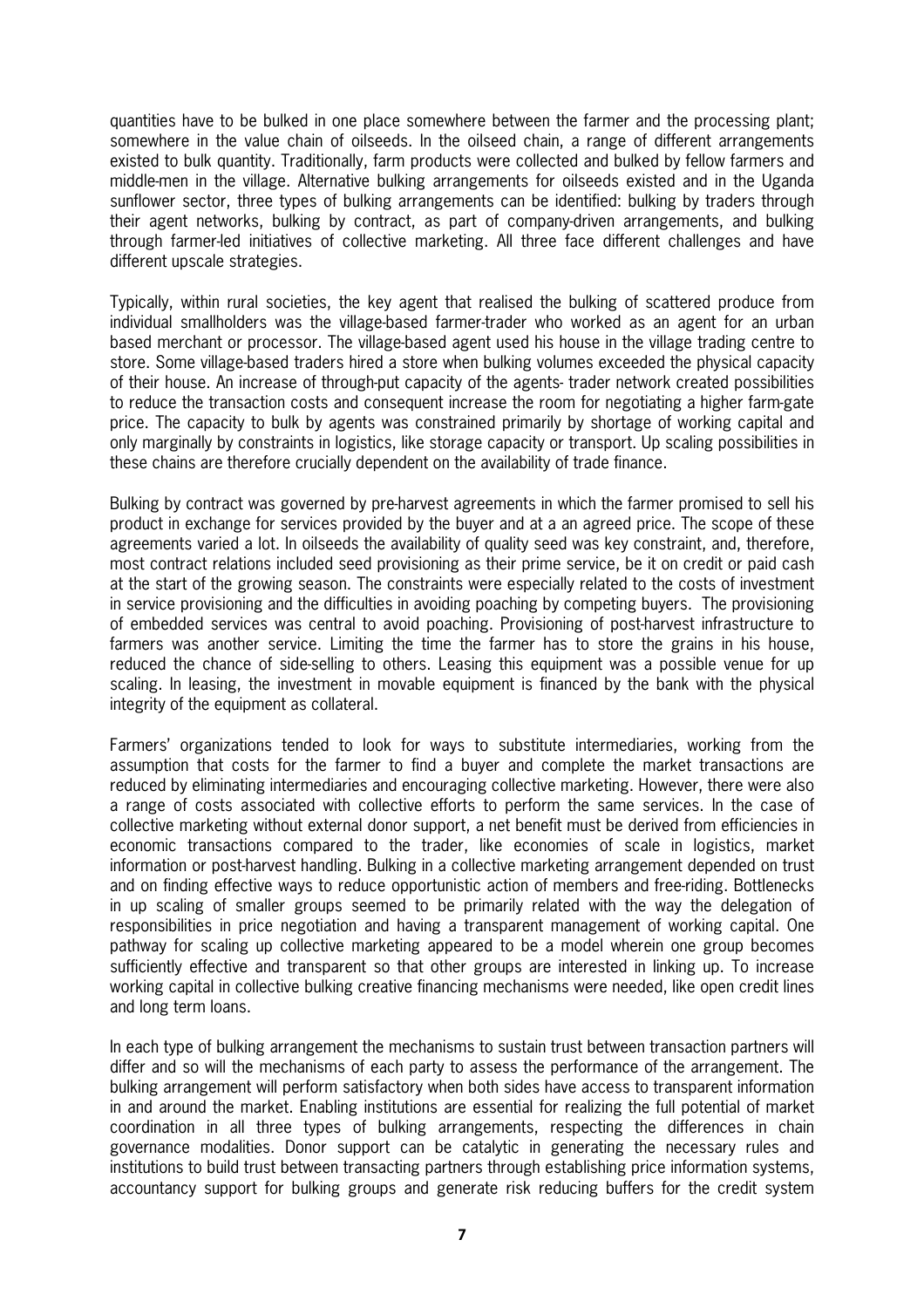quantities have to be bulked in one place somewhere between the farmer and the processing plant; somewhere in the value chain of oilseeds. In the oilseed chain, a range of different arrangements existed to bulk quantity. Traditionally, farm products were collected and bulked by fellow farmers and middlemen in the village. Alternative bulking arrangements for oilseeds existed and in the Uganda sunflower sector, three types of bulking arrangements can be identified: bulking by traders through their agent networks, bulking by contract, as part of companydriven arrangements, and bulking through farmerled initiatives of collective marketing. All three face different challenges and have different upscale strategies.

Typically, within rural societies, the key agent that realised the bulking of scattered produce from individual smallholders was the village-based farmer-trader who worked as an agent for an urban based merchant or processor. The villagebased agent used his house in the village trading centre to store. Some village-based traders hired a store when bulking volumes exceeded the physical capacity of their house. An increase of through-put capacity of the agents-trader network created possibilities to reduce the transaction costs and consequent increase the room for negotiating a higher farm-gate price. The capacity to bulk by agents was constrained primarily by shortage of working capital and only marginally by constraints in logistics, like storage capacity or transport. Up scaling possibilities in these chains are therefore crucially dependent on the availability of trade finance.

Bulking by contract was governed by preharvest agreements in which the farmer promised to sell his product in exchange for services provided by the buyer and at a an agreed price. The scope of these agreements varied a lot. In oilseeds the availability of quality seed was key constraint, and, therefore, most contract relations included seed provisioning as their prime service, be it on credit or paid cash at the start of the growing season. The constraints were especially related to the costs of investment in service provisioning and the difficulties in avoiding poaching by competing buyers. The provisioning of embedded services was central to avoid poaching. Provisioning of postharvest infrastructure to farmers was another service. Limiting the time the farmer has to store the grains in his house, reduced the chance of side-selling to others. Leasing this equipment was a possible venue for up scaling. In leasing, the investment in movable equipment is financed by the bank with the physical integrity of the equipment as collateral.

Farmers' organizations tended to look for ways to substitute intermediaries, working from the assumption that costs for the farmer to find a buyer and complete the market transactions are reduced by eliminating intermediaries and encouraging collective marketing. However, there were also a range of costs associated with collective efforts to perform the same services. In the case of collective marketing without external donor support, a net benefit must be derived from efficiencies in economic transactions compared to the trader, like economies of scale in logistics, market information or postharvest handling. Bulking in a collective marketing arrangement depended on trust and on finding effective ways to reduce opportunistic action of members and freeriding. Bottlenecks in up scaling of smaller groups seemed to be primarily related with the way the delegation of responsibilities in price negotiation and having a transparent management of working capital. One pathway for scaling up collective marketing appeared to be a model wherein one group becomes sufficiently effective and transparent so that other groups are interested in linking up. To increase working capital in collective bulking creative financing mechanisms were needed, like open credit lines and long term loans.

In each type of bulking arrangement the mechanisms to sustain trust between transaction partners will differ and so will the mechanisms of each party to assess the performance of the arrangement. The bulking arrangement will perform satisfactory when both sides have access to transparent information in and around the market. Enabling institutions are essential for realizing the full potential of market coordination in all three types of bulking arrangements, respecting the differences in chain governance modalities. Donor support can be catalytic in generating the necessary rules and institutions to build trust between transacting partners through establishing price information systems, accountancy support for bulking groups and generate risk reducing buffers for the credit system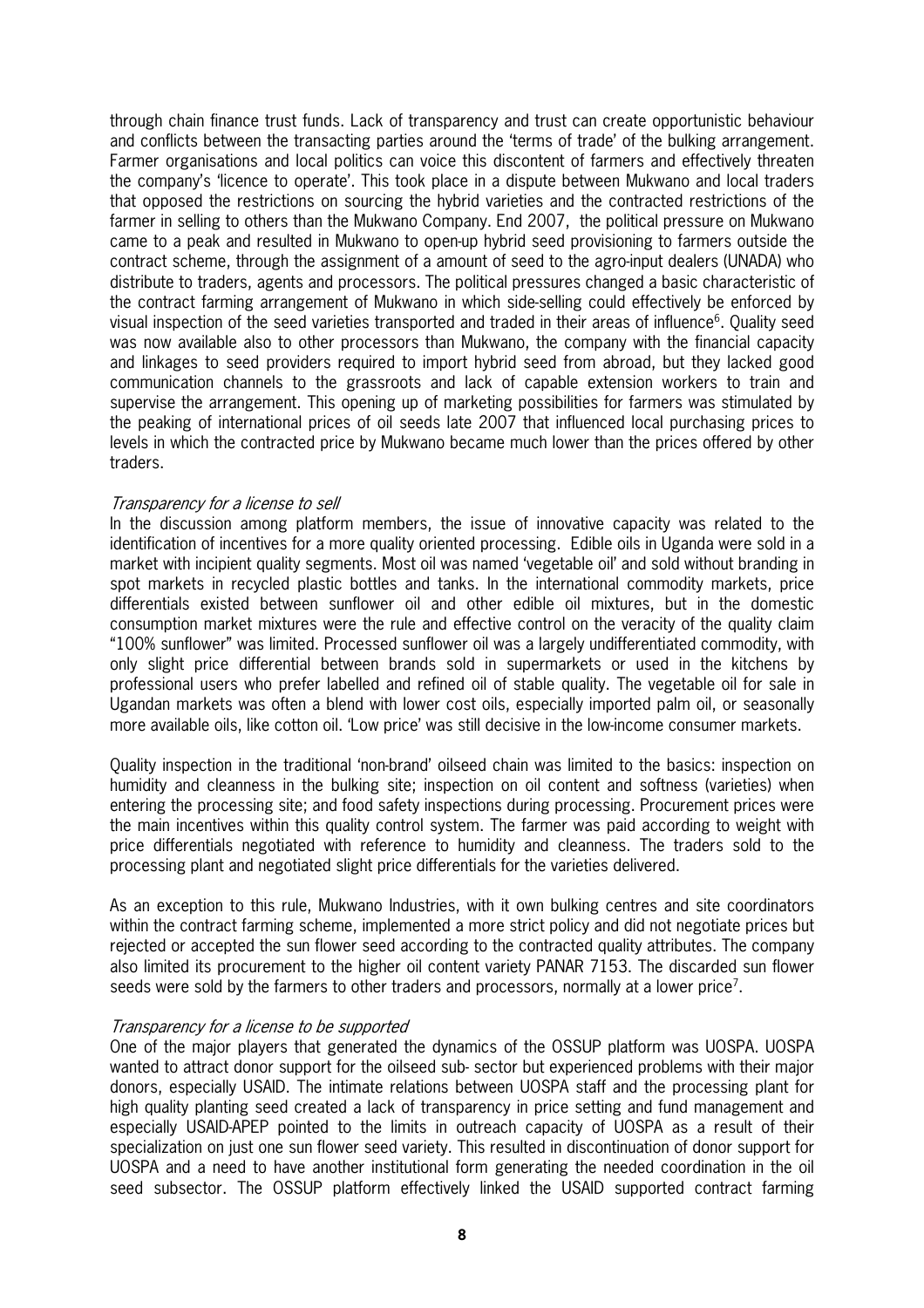through chain finance trust funds. Lack of transparency and trust can create opportunistic behaviour and conflicts between the transacting parties around the 'terms of trade' of the bulking arrangement. Farmer organisations and local politics can voice this discontent of farmers and effectively threaten the company's 'licence to operate'. This took place in a dispute between Mukwano and local traders that opposed the restrictions on sourcing the hybrid varieties and the contracted restrictions of the farmer in selling to others than the Mukwano Company. End 2007, the political pressure on Mukwano came to a peak and resulted in Mukwano to openup hybrid seed provisioning to farmers outside the contract scheme, through the assignment of a amount of seed to the agro-input dealers (UNADA) who distribute to traders, agents and processors. The political pressures changed a basic characteristic of the contract farming arrangement of Mukwano in which sideselling could effectively be enforced by visual inspection of the seed varieties transported and traded in their areas of influence<sup>6</sup>. Quality seed was now available also to other processors than Mukwano, the company with the financial capacity and linkages to seed providers required to import hybrid seed from abroad, but they lacked good communication channels to the grassroots and lack of capable extension workers to train and supervise the arrangement. This opening up of marketing possibilities for farmers was stimulated by the peaking of international prices of oil seeds late 2007 that influenced local purchasing prices to levels in which the contracted price by Mukwano became much lower than the prices offered by other traders.

#### Transparency for a license to sell

In the discussion among platform members, the issue of innovative capacity was related to the identification of incentives for a more quality oriented processing. Edible oils in Uganda were sold in a market with incipient quality segments. Most oil was named 'vegetable oil' and sold without branding in spot markets in recycled plastic bottles and tanks. In the international commodity markets, price differentials existed between sunflower oil and other edible oil mixtures, but in the domestic consumption market mixtures were the rule and effective control on the veracity of the quality claim "100% sunflower" was limited. Processed sunflower oil was a largely undifferentiated commodity, with only slight price differential between brands sold in supermarkets or used in the kitchens by professional users who prefer labelled and refined oil of stable quality. The vegetable oil for sale in Ugandan markets was often a blend with lower cost oils, especially imported palm oil, or seasonally more available oils, like cotton oil. 'Low price' was still decisive in the lowincome consumer markets.

Quality inspection in the traditional 'nonbrand' oilseed chain was limited to the basics: inspection on humidity and cleanness in the bulking site; inspection on oil content and softness (varieties) when entering the processing site; and food safety inspections during processing. Procurement prices were the main incentives within this quality control system. The farmer was paid according to weight with price differentials negotiated with reference to humidity and cleanness. The traders sold to the processing plant and negotiated slight price differentials for the varieties delivered.

As an exception to this rule, Mukwano Industries, with it own bulking centres and site coordinators within the contract farming scheme, implemented a more strict policy and did not negotiate prices but rejected or accepted the sun flower seed according to the contracted quality attributes. The company also limited its procurement to the higher oil content variety PANAR 7153. The discarded sun flower seeds were sold by the farmers to other traders and processors, normally at a lower price<sup>7</sup>.

#### Transparency for a license to be supported

One of the major players that generated the dynamics of the OSSUP platform was UOSPA. UOSPA wanted to attract donor support for the oilseed sub-sector but experienced problems with their major donors, especially USAID. The intimate relations between UOSPA staff and the processing plant for high quality planting seed created a lack of transparency in price setting and fund management and especially USAIDAPEP pointed to the limits in outreach capacity of UOSPA as a result of their specialization on just one sun flower seed variety. This resulted in discontinuation of donor support for UOSPA and a need to have another institutional form generating the needed coordination in the oil seed subsector. The OSSUP platform effectively linked the USAID supported contract farming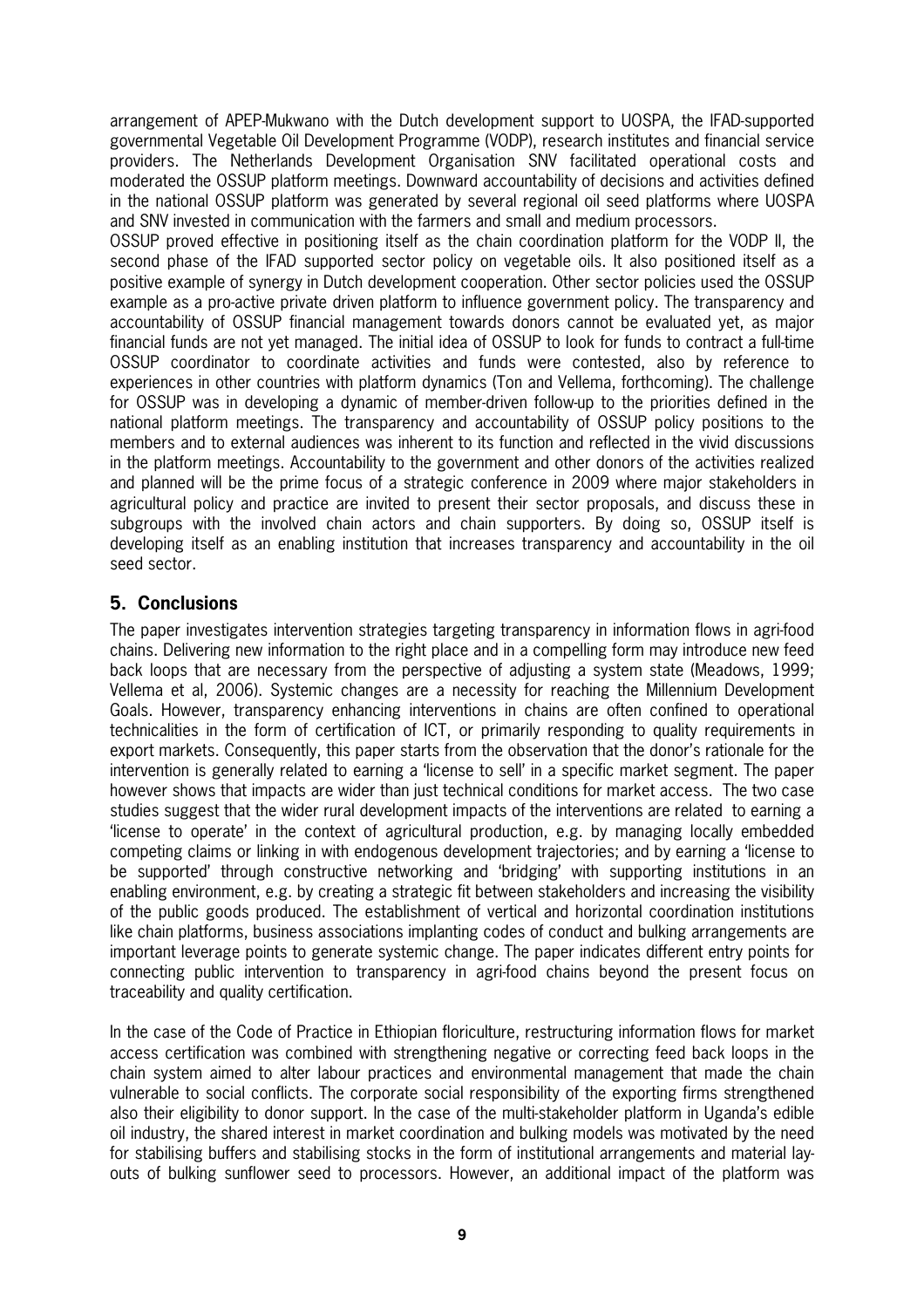arrangement of APEP-Mukwano with the Dutch development support to UOSPA, the IFAD-supported governmental Vegetable Oil Development Programme (VODP), research institutes and financial service providers. The Netherlands Development Organisation SNV facilitated operational costs and moderated the OSSUP platform meetings. Downward accountability of decisions and activities defined in the national OSSUP platform was generated by several regional oil seed platforms where UOSPA and SNV invested in communication with the farmers and small and medium processors.

OSSUP proved effective in positioning itself as the chain coordination platform for the VODP II, the second phase of the IFAD supported sector policy on vegetable oils. It also positioned itself as a positive example of synergy in Dutch development cooperation. Other sector policies used the OSSUP example as a pro-active private driven platform to influence government policy. The transparency and accountability of OSSUP financial management towards donors cannot be evaluated yet, as major financial funds are not yet managed. The initial idea of OSSUP to look for funds to contract a fulltime OSSUP coordinator to coordinate activities and funds were contested, also by reference to experiences in other countries with platform dynamics (Ton and Vellema, forthcoming). The challenge for OSSUP was in developing a dynamic of member-driven follow-up to the priorities defined in the national platform meetings. The transparency and accountability of OSSUP policy positions to the members and to external audiences was inherent to its function and reflected in the vivid discussions in the platform meetings. Accountability to the government and other donors of the activities realized and planned will be the prime focus of a strategic conference in 2009 where major stakeholders in agricultural policy and practice are invited to present their sector proposals, and discuss these in subgroups with the involved chain actors and chain supporters. By doing so, OSSUP itself is developing itself as an enabling institution that increases transparency and accountability in the oil seed sector.

#### **5. Conclusions**

The paper investigates intervention strategies targeting transparency in information flows in agrifood chains. Delivering new information to the right place and in a compelling form may introduce new feed back loops that are necessary from the perspective of adjusting a system state (Meadows, 1999; Vellema et al, 2006). Systemic changes are a necessity for reaching the Millennium Development Goals. However, transparency enhancing interventions in chains are often confined to operational technicalities in the form of certification of ICT, or primarily responding to quality requirements in export markets. Consequently, this paper starts from the observation that the donor's rationale for the intervention is generally related to earning a 'license to sell' in a specific market segment. The paper however shows that impacts are wider than just technical conditions for market access. The two case studies suggest that the wider rural development impacts of the interventions are related to earning a 'license to operate' in the context of agricultural production, e.g. by managing locally embedded competing claims or linking in with endogenous development trajectories; and by earning a 'license to be supported' through constructive networking and 'bridging' with supporting institutions in an enabling environment, e.g. by creating a strategic fit between stakeholders and increasing the visibility of the public goods produced. The establishment of vertical and horizontal coordination institutions like chain platforms, business associations implanting codes of conduct and bulking arrangements are important leverage points to generate systemic change. The paper indicates different entry points for connecting public intervention to transparency in agrifood chains beyond the present focus on traceability and quality certification.

In the case of the Code of Practice in Ethiopian floriculture, restructuring information flows for market access certification was combined with strengthening negative or correcting feed back loops in the chain system aimed to alter labour practices and environmental management that made the chain vulnerable to social conflicts. The corporate social responsibility of the exporting firms strengthened also their eligibility to donor support. In the case of the multi-stakeholder platform in Uganda's edible oil industry, the shared interest in market coordination and bulking models was motivated by the need for stabilising buffers and stabilising stocks in the form of institutional arrangements and material lay outs of bulking sunflower seed to processors. However, an additional impact of the platform was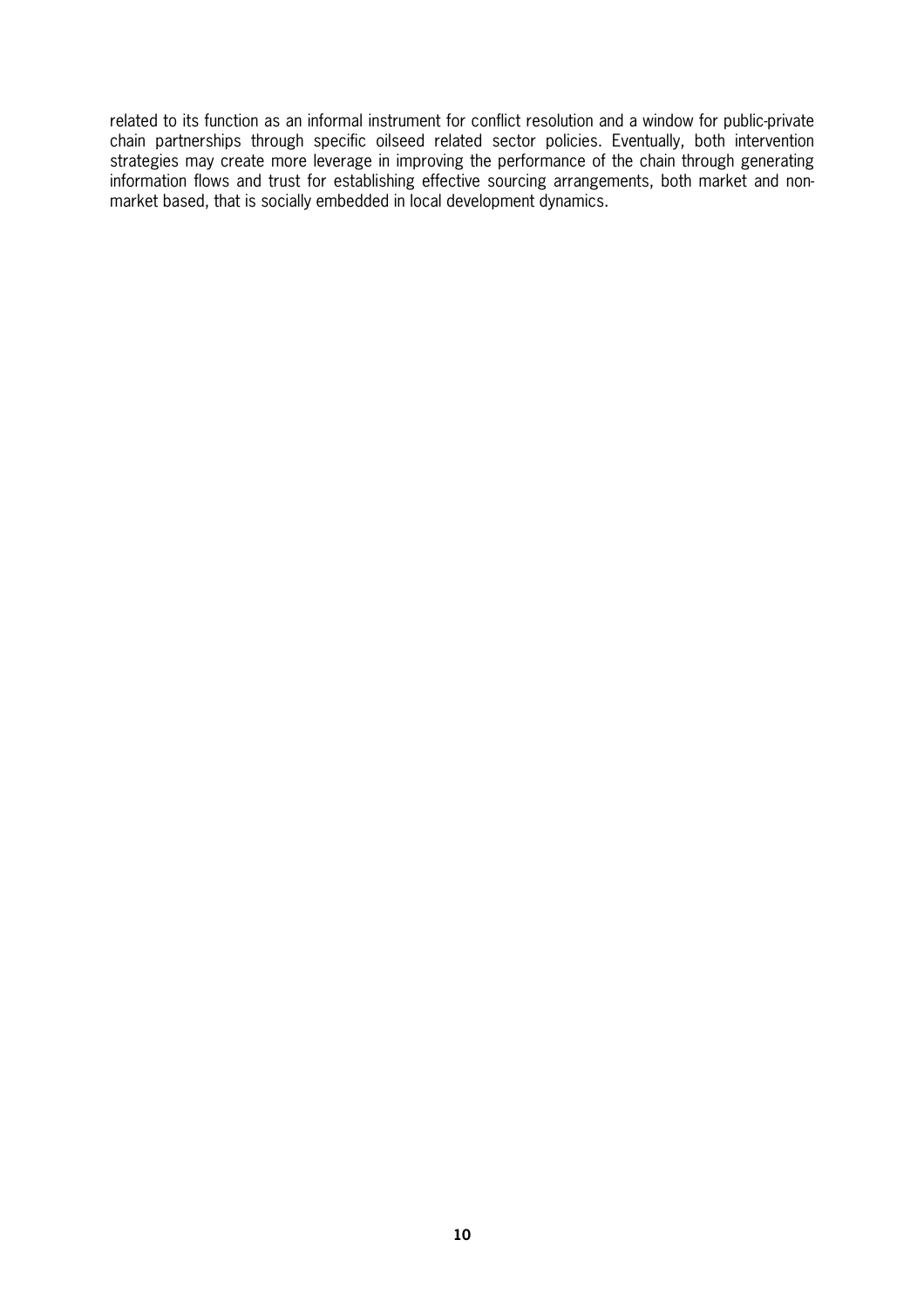related to its function as an informal instrument for conflict resolution and a window for public-private chain partnerships through specific oilseed related sector policies. Eventually, both intervention strategies may create more leverage in improving the performance of the chain through generating information flows and trust for establishing effective sourcing arrangements, both market and non market based, that is socially embedded in local development dynamics.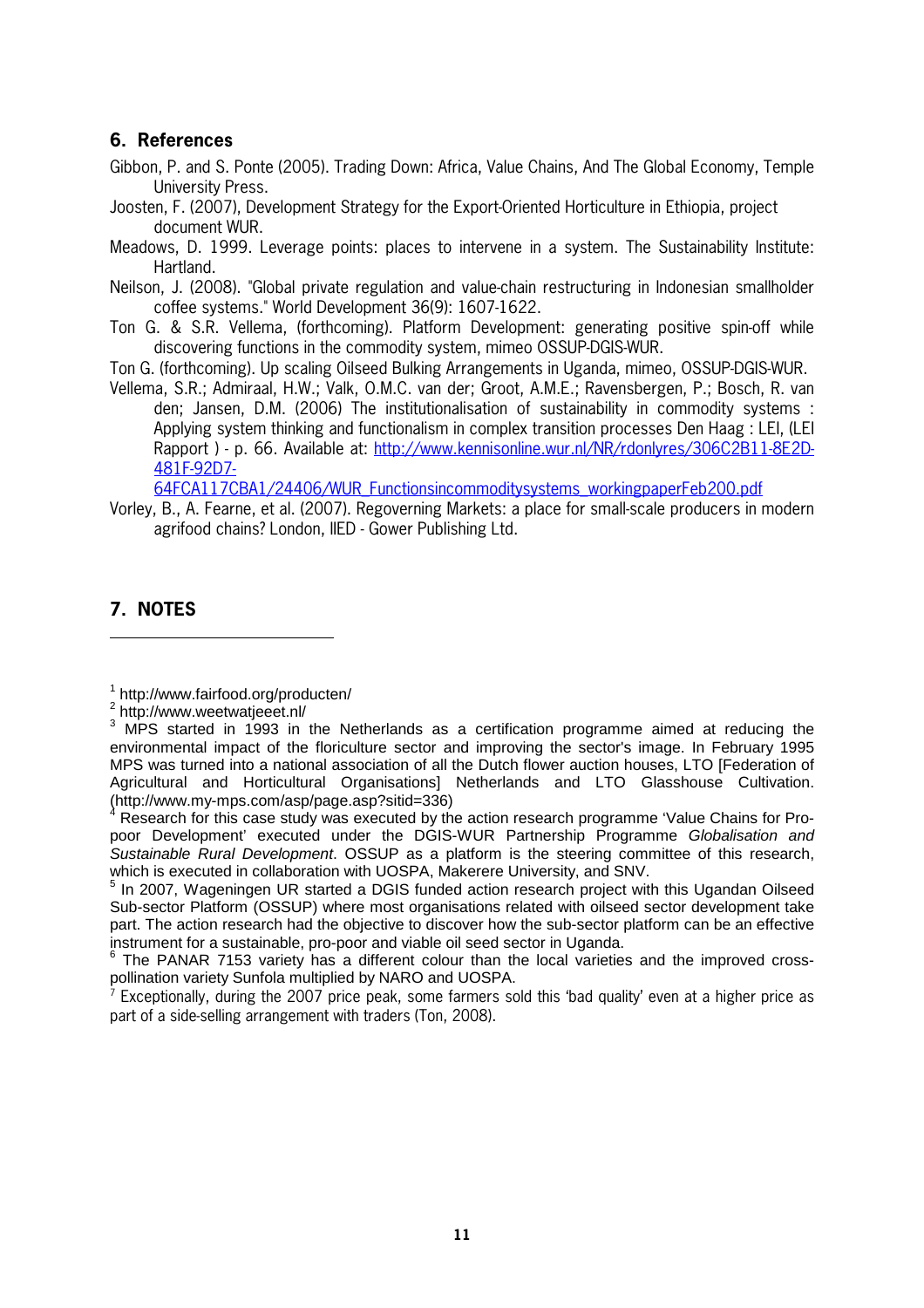#### **6. References**

- Gibbon, P. and S. Ponte (2005). Trading Down: Africa, Value Chains, And The Global Economy, Temple University Press.
- Joosten, F. (2007), Development Strategy for the ExportOriented Horticulture in Ethiopia, project document WUR.
- Meadows, D. 1999. Leverage points: places to intervene in a system. The Sustainability Institute: Hartland.
- Neilson, J. (2008). "Global private regulation and value-chain restructuring in Indonesian smallholder coffee systems." World Development 36(9): 1607-1622.
- Ton G. & S.R. Vellema, (forthcoming). Platform Development: generating positive spinoff while discovering functions in the commodity system, mimeo OSSUP-DGIS-WUR.
- Ton G. (forthcoming). Up scaling Oilseed Bulking Arrangements in Uganda, mimeo, OSSUPDGISWUR.
- Vellema, S.R.; Admiraal, H.W.; Valk, O.M.C. van der; Groot, A.M.E.; Ravensbergen, P.; Bosch, R. van den; Jansen, D.M. (2006) The institutionalisation of sustainability in commodity systems : Applying system thinking and functionalism in complex transition processes Den Haag : LEI, (LEI Rapport ) - p. 66. Available at: http://www.kennisonline.wur.nl/NR/rdonlyres/306C2B11-8E2D-481F-92D7-

64FCA117CBA1/24406/WUR\_Functionsincommoditysystems\_workingpaperFeb200.pdf

Vorley, B., A. Fearne, et al. (2007). Regoverning Markets: a place for small-scale producers in modern agrifood chains? London, IIED - Gower Publishing Ltd.

#### **7. NOTES**

 $\overline{a}$ 

<sup>1</sup> http://www.fairfood.org/producten/

<sup>&</sup>lt;sup>2</sup> http://www.weetwatjeeet.nl/

 $3$  MPS started in 1993 in the Netherlands as a certification programme aimed at reducing the environmental impact of the floriculture sector and improving the sector's image. In February 1995 MPS was turned into a national association of all the Dutch flower auction houses, LTO [Federation of Agricultural and Horticultural Organisations] Netherlands and LTO Glasshouse Cultivation. (http://www.my-mps.com/asp/page.asp?sitid=336)

<sup>4</sup> Research for this case study was executed by the action research programme 'Value Chains for Propoor Development' executed under the DGIS-WUR Partnership Programme Globalisation and Sustainable Rural Development. OSSUP as a platform is the steering committee of this research, which is executed in collaboration with UOSPA, Makerere University, and SNV.

<sup>&</sup>lt;sup>5</sup> In 2007, Wageningen UR started a DGIS funded action research project with this Ugandan Oilseed Sub-sector Platform (OSSUP) where most organisations related with oilseed sector development take part. The action research had the objective to discover how the sub-sector platform can be an effective instrument for a sustainable, pro-poor and viable oil seed sector in Uganda.

<sup>6</sup> The PANAR 7153 variety has a different colour than the local varieties and the improved crosspollination variety Sunfola multiplied by NARO and UOSPA.

<sup>&</sup>lt;sup>7</sup> Exceptionally, during the 2007 price peak, some farmers sold this 'bad quality' even at a higher price as part of a side-selling arrangement with traders (Ton, 2008).